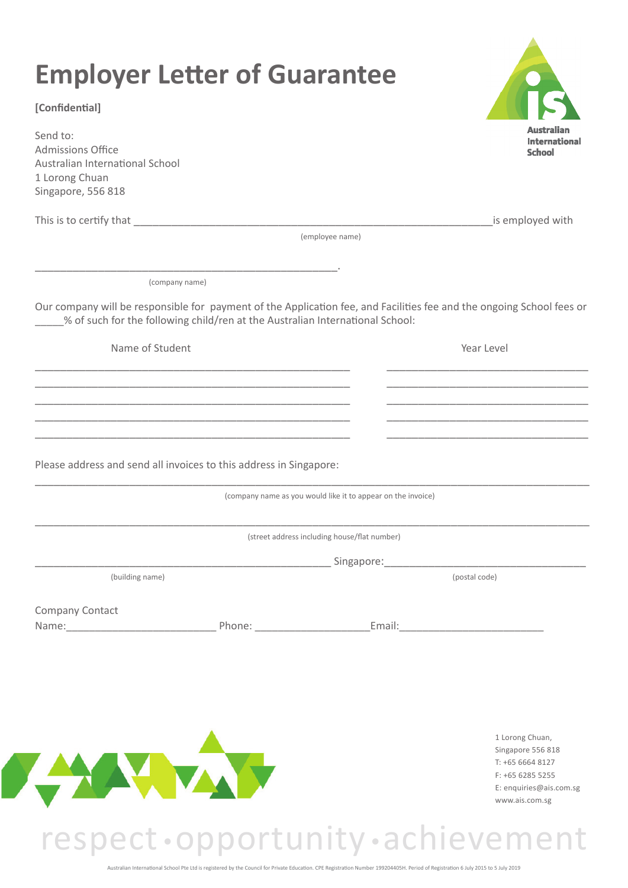| [Confidential]                                                                                           |                                                                               |                                                              |                                                                                                                       |
|----------------------------------------------------------------------------------------------------------|-------------------------------------------------------------------------------|--------------------------------------------------------------|-----------------------------------------------------------------------------------------------------------------------|
| Send to:<br>Admissions Office<br>Australian International School<br>1 Lorong Chuan<br>Singapore, 556 818 |                                                                               |                                                              | Australia<br><b>International</b><br>School                                                                           |
|                                                                                                          |                                                                               |                                                              | is employed with                                                                                                      |
|                                                                                                          |                                                                               | (employee name)                                              |                                                                                                                       |
|                                                                                                          | (company name)                                                                |                                                              |                                                                                                                       |
|                                                                                                          | % of such for the following child/ren at the Australian International School: |                                                              | Our company will be responsible for payment of the Application fee, and Facilities fee and the ongoing School fees or |
| Name of Student                                                                                          |                                                                               |                                                              | Year Level                                                                                                            |
|                                                                                                          |                                                                               |                                                              |                                                                                                                       |
|                                                                                                          |                                                                               |                                                              |                                                                                                                       |
|                                                                                                          |                                                                               |                                                              |                                                                                                                       |
|                                                                                                          | Please address and send all invoices to this address in Singapore:            |                                                              |                                                                                                                       |
|                                                                                                          |                                                                               | (company name as you would like it to appear on the invoice) |                                                                                                                       |
|                                                                                                          |                                                                               | (street address including house/flat number)                 |                                                                                                                       |
|                                                                                                          |                                                                               |                                                              | Singapore: Management Contractor Contractor Contractor Contractor Contractor Contractor                               |
| (building name)                                                                                          |                                                                               |                                                              | (postal code)                                                                                                         |
| Company Contact                                                                                          | Name: Phone: Phone:                                                           |                                                              | Email: <u>Communication</u>                                                                                           |
|                                                                                                          |                                                                               |                                                              |                                                                                                                       |
|                                                                                                          |                                                                               |                                                              |                                                                                                                       |
|                                                                                                          |                                                                               |                                                              |                                                                                                                       |
|                                                                                                          |                                                                               |                                                              | 1 Lorong Chuan,                                                                                                       |
|                                                                                                          | TA.                                                                           |                                                              | Singapore 556 818<br>T: +65 6664 8127                                                                                 |
|                                                                                                          |                                                                               |                                                              | F: +65 6285 5255<br>E: enquiries@ais.com.sg<br>www.ais.com.sg                                                         |

## respect •opportunity • achievement